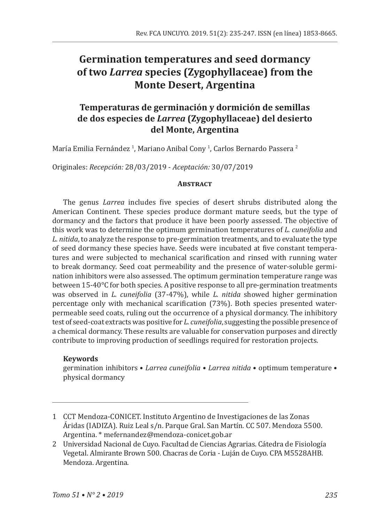# **Germination temperatures and seed dormancy of two** *Larrea* **species (Zygophyllaceae) from the Monte Desert, Argentina**

# **Temperaturas de germinación y dormición de semillas de dos especies de** *Larrea* **(Zygophyllaceae) del desierto del Monte, Argentina**

María Emilia Fernández <sup>I</sup>, Mariano Anibal Cony <sup>I</sup>, Carlos Bernardo Passera <del>'</del>

Originales: *Recepción:* 28/03/2019 - *Aceptación:* 30/07/2019

## **Abstract**

The genus *Larrea* includes five species of desert shrubs distributed along the American Continent. These species produce dormant mature seeds, but the type of dormancy and the factors that produce it have been poorly assessed. The objective of this work was to determine the optimum germination temperatures of *L. cuneifolia* and *L. nitida*, to analyze the response to pre-germination treatments, and to evaluate the type of seed dormancy these species have. Seeds were incubated at five constant temperatures and were subjected to mechanical scarification and rinsed with running water to break dormancy. Seed coat permeability and the presence of water-soluble germination inhibitors were also assessed. The optimum germination temperature range was between 15-40°C for both species. A positive response to all pre-germination treatments was observed in *L. cuneifolia* (37-47%), while *L. nitida* showed higher germination percentage only with mechanical scarification (73%). Both species presented waterpermeable seed coats, ruling out the occurrence of a physical dormancy. The inhibitory test of seed-coat extracts was positive for *L. cuneifolia*, suggesting the possible presence of a chemical dormancy. These results are valuable for conservation purposes and directly contribute to improving production of seedlings required for restoration projects.

## **Keywords**

germination inhibitors • *Larrea cuneifolia* • *Larrea nitida* • optimum temperature • physical dormancy

<sup>1</sup> CCT Mendoza-CONICET. Instituto Argentino de Investigaciones de las Zonas Áridas (IADIZA). Ruiz Leal s/n. Parque Gral. San Martín. CC 507. Mendoza 5500. Argentina. \* mefernandez@mendoza-conicet.gob.ar

<sup>2</sup> Universidad Nacional de Cuyo. Facultad de Ciencias Agrarias. Cátedra de Fisiología Vegetal. Almirante Brown 500. Chacras de Coria - Luján de Cuyo. CPA M5528AHB. Mendoza. Argentina.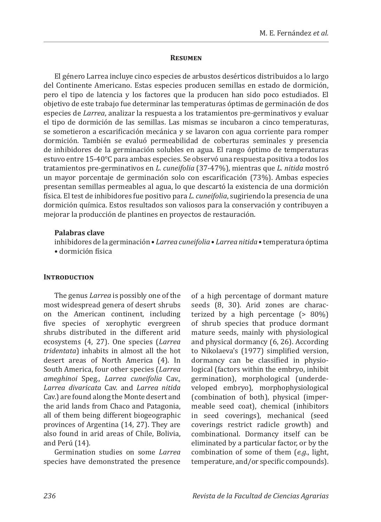#### **Resumen**

El género Larrea incluye cinco especies de arbustos desérticos distribuidos a lo largo del Continente Americano. Estas especies producen semillas en estado de dormición, pero el tipo de latencia y los factores que la producen han sido poco estudiados. El objetivo de este trabajo fue determinar las temperaturas óptimas de germinación de dos especies de *Larrea*, analizar la respuesta a los tratamientos pre-germinativos y evaluar el tipo de dormición de las semillas. Las mismas se incubaron a cinco temperaturas, se sometieron a escarificación mecánica y se lavaron con agua corriente para romper dormición. También se evaluó permeabilidad de coberturas seminales y presencia de inhibidores de la germinación solubles en agua. El rango óptimo de temperaturas estuvo entre 15-40°C para ambas especies. Se observó una respuesta positiva a todos los tratamientos pre-germinativos en *L. cuneifolia* (37-47%), mientras que *L. nitida* mostró un mayor porcentaje de germinación solo con escarificación (73%). Ambas especies presentan semillas permeables al agua, lo que descartó la existencia de una dormición física. El test de inhibidores fue positivo para *L. cuneifolia*, sugiriendo la presencia de una dormición química. Estos resultados son valiosos para la conservación y contribuyen a mejorar la producción de plantines en proyectos de restauración.

#### **Palabras clave**

inhibidores de la germinación • *Larrea cuneifolia* • *Larrea nitida* • temperatura óptima • dormición física

#### **INTRODUCTION**

The genus *Larrea* is possibly one of the most widespread genera of desert shrubs on the American continent, including five species of xerophytic evergreen shrubs distributed in the different arid ecosystems (4, 27). One species (*Larrea tridentata*) inhabits in almost all the hot desert areas of North America (4). In South America, four other species (*Larrea ameghinoi* Speg*., Larrea cuneifolia* Cav.*, Larrea divaricata* Cav. and *Larrea nitida*  Cav.) are found along the Monte desert and the arid lands from Chaco and Patagonia, all of them being different biogeographic provinces of Argentina (14, 27). They are also found in arid areas of Chile, Bolivia, and Perú (14).

Germination studies on some *Larrea*  species have demonstrated the presence of a high percentage of dormant mature seeds (8, 30). Arid zones are characterized by a high percentage (> 80%) of shrub species that produce dormant mature seeds, mainly with physiological and physical dormancy (6, 26). According to Nikolaeva's (1977) simplified version, dormancy can be classified in physiological (factors within the embryo, inhibit germination), morphological (underdeveloped embryo), morphophysiological (combination of both), physical (impermeable seed coat), chemical (inhibitors in seed coverings), mechanical (seed coverings restrict radicle growth) and combinational. Dormancy itself can be eliminated by a particular factor, or by the combination of some of them (*e.g.*, light, temperature, and/or specific compounds).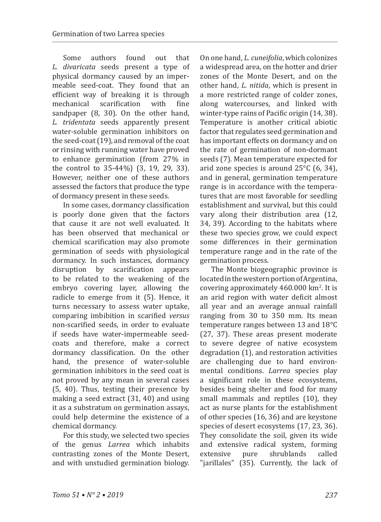Some authors found out that *L. divaricata* seeds present a type of physical dormancy caused by an impermeable seed-coat. They found that an efficient way of breaking it is through<br>mechanical scarification with fine mechanical scarification with fine sandpaper (8, 30). On the other hand, *L. tridentata* seeds apparently present water-soluble germination inhibitors on the seed-coat (19), and removal of the coat or rinsing with running water have proved to enhance germination (from 27% in the control to 35-44%) (3, 19, 29, 33). However, neither one of these authors assessed the factors that produce the type of dormancy present in these seeds.

In some cases, dormancy classification is poorly done given that the factors that cause it are not well evaluated. It has been observed that mechanical or chemical scarification may also promote germination of seeds with physiological dormancy. In such instances, dormancy<br>disruption by scarification appears by scarification to be related to the weakening of the embryo covering layer, allowing the radicle to emerge from it (5). Hence, it turns necessary to assess water uptake, comparing imbibition in scarified *versus*  non-scarified seeds, in order to evaluate if seeds have water-impermeable seedcoats and therefore, make a correct dormancy classification. On the other hand, the presence of water-soluble germination inhibitors in the seed coat is not proved by any mean in several cases (5, 40). Thus, testing their presence by making a seed extract (31, 40) and using it as a substratum on germination assays, could help determine the existence of a chemical dormancy.

For this study, we selected two species of the genus *Larrea* which inhabits contrasting zones of the Monte Desert, and with unstudied germination biology.

On one hand, *L. cuneifolia*, which colonizes a widespread area, on the hotter and drier zones of the Monte Desert, and on the other hand, *L. nitida*, which is present in a more restricted range of colder zones, along watercourses, and linked with winter-type rains of Pacific origin (14, 38). Temperature is another critical abiotic factor that regulates seed germination and has important effects on dormancy and on the rate of germination of non-dormant seeds (7). Mean temperature expected for arid zone species is around 25°C (6, 34), and in general, germination temperature range is in accordance with the temperatures that are most favorable for seedling establishment and survival, but this could vary along their distribution area (12, 34, 39). According to the habitats where these two species grow, we could expect some differences in their germination temperature range and in the rate of the germination process.

The Monte biogeographic province is located in the western portion of Argentina, covering approximately  $460.000 \text{ km}^2$ . It is an arid region with water deficit almost all year and an average annual rainfall ranging from 30 to 350 mm. Its mean temperature ranges between 13 and 18°C (27, 37). These areas present moderate to severe degree of native ecosystem degradation (1), and restoration activities are challenging due to hard environmental conditions. *Larrea* species play a significant role in these ecosystems, besides being shelter and food for many small mammals and reptiles (10), they act as nurse plants for the establishment of other species (16, 36) and are keystone species of desert ecosystems (17, 23, 36). They consolidate the soil, given its wide and extensive radical system, forming<br>extensive pure shrublands called shrublands "jarillales" (35). Currently, the lack of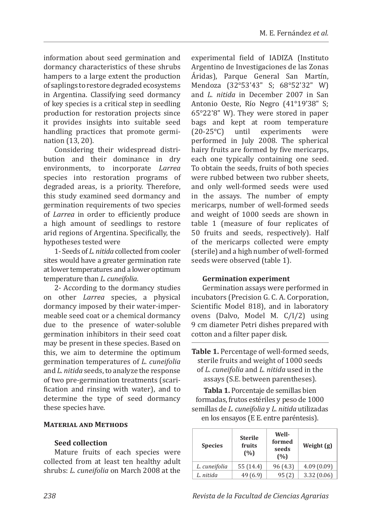information about seed germination and dormancy characteristics of these shrubs hampers to a large extent the production of saplings to restore degraded ecosystems in Argentina. Classifying seed dormancy of key species is a critical step in seedling production for restoration projects since it provides insights into suitable seed handling practices that promote germination (13, 20).

Considering their widespread distribution and their dominance in dry environments, to incorporate *Larrea* species into restoration programs of degraded areas, is a priority. Therefore, this study examined seed dormancy and germination requirements of two species of *Larrea* in order to efficiently produce a high amount of seedlings to restore arid regions of Argentina. Specifically, the hypotheses tested were

1- Seeds of *L. nitida* collected from cooler sites would have a greater germination rate at lower temperatures and a lower optimum temperature than *L. cuneifolia*.

2- According to the dormancy studies on other *Larrea* species, a physical dormancy imposed by their water-impermeable seed coat or a chemical dormancy due to the presence of water-soluble germination inhibitors in their seed coat may be present in these species. Based on this, we aim to determine the optimum germination temperatures of *L. cuneifolia*  and *L. nitida* seeds, to analyze the response of two pre-germination treatments (scarification and rinsing with water), and to determine the type of seed dormancy these species have.

## **Material and Methods**

## **Seed collection**

Mature fruits of each species were collected from at least ten healthy adult shrubs: *L. cuneifolia* on March 2008 at the experimental field of IADIZA (Instituto Argentino de Investigaciones de las Zonas Áridas), Parque General San Martín, Mendoza (32°53'43" S; 68°52'32" W) and *L. nitida* in December 2007 in San Antonio Oeste, Río Negro (41°19'38" S; 65°22'8" W). They were stored in paper bags and kept at room temperature<br>(20-25°C) until experiments were  $(20-25\degree C)$  until experiments performed in July 2008. The spherical hairy fruits are formed by five mericarps, each one typically containing one seed. To obtain the seeds, fruits of both species were rubbed between two rubber sheets, and only well-formed seeds were used in the assays. The number of empty mericarps, number of well-formed seeds and weight of 1000 seeds are shown in table 1 (measure of four replicates of 50 fruits and seeds, respectively). Half of the mericarps collected were empty (sterile) and a high number of well-formed seeds were observed (table 1).

#### **Germination experiment**

Germination assays were performed in incubators (Precision G. C. A. Corporation, Scientific Model 818), and in laboratory ovens (Dalvo, Model M. C/I/2) using 9 cm diameter Petri dishes prepared with cotton and a filter paper disk.

**Table 1.** Percentage of well-formed seeds, sterile fruits and weight of 1000 seeds of *L. cuneifolia* and *L. nitida* used in the assays (S.E. between parentheses).

**Tabla 1.** Porcentaje de semillas bien formadas, frutos estériles y peso de 1000 semillas de *L. cuneifolia* y *L. nitida* utilizadas en los ensayos (E E. entre paréntesis).

| <b>Species</b> | <b>Sterile</b><br>fruits<br>(%) | Well-<br>formed<br>seeds<br>(%) | Weight $(g)$ |
|----------------|---------------------------------|---------------------------------|--------------|
| L. cuneifolia  | 55 (14.4)                       | 96 (4.3)                        | 4.09(0.09)   |
| L. nitida      | 49 (6.9)                        | 95(2)                           | 3.32(0.06)   |

*238 Revista de la Facultad de Ciencias Agrarias*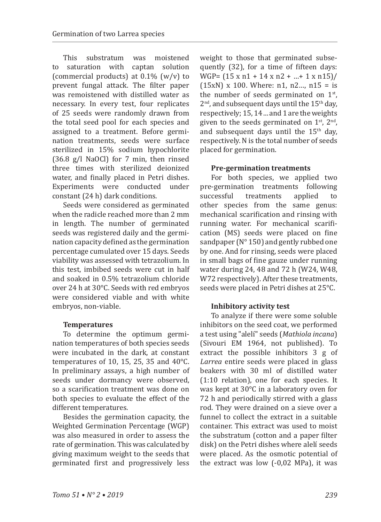This substratum was moistened<br>saturation with cantan solution to saturation with (commercial products) at  $0.1\%$  (w/v) to prevent fungal attack. The filter paper was remoistened with distilled water as necessary. In every test, four replicates of 25 seeds were randomly drawn from the total seed pool for each species and assigned to a treatment. Before germination treatments, seeds were surface sterilized in 15% sodium hypochlorite (36.8 g/l NaOCl) for 7 min, then rinsed three times with sterilized deionized water, and finally placed in Petri dishes. Experiments were conducted under constant (24 h) dark conditions.

Seeds were considered as germinated when the radicle reached more than 2 mm in length. The number of germinated seeds was registered daily and the germination capacity defined as the germination percentage cumulated over 15 days. Seeds viability was assessed with tetrazolium. In this test, imbibed seeds were cut in half and soaked in 0.5% tetrazolium chloride over 24 h at 30°C. Seeds with red embryos were considered viable and with white embryos, non-viable.

## **Temperatures**

To determine the optimum germination temperatures of both species seeds were incubated in the dark, at constant temperatures of 10, 15, 25, 35 and 40°C. In preliminary assays, a high number of seeds under dormancy were observed, so a scarification treatment was done on both species to evaluate the effect of the different temperatures.

Besides the germination capacity, the Weighted Germination Percentage (WGP) was also measured in order to assess the rate of germination. This was calculated by giving maximum weight to the seeds that germinated first and progressively less weight to those that germinated subsequently (32), for a time of fifteen days: WGP= (15 x n1 + 14 x n2 + …+ 1 x n15)/  $(15xN)$  x 100. Where: n1, n2..., n15 = is the number of seeds germinated on  $1<sup>st</sup>$ ,  $2<sup>nd</sup>$ , and subsequent days until the  $15<sup>th</sup>$  day, respectively; 15, 14 ... and 1 are the weights given to the seeds germinated on  $1<sup>st</sup>$ ,  $2<sup>nd</sup>$ , and subsequent days until the  $15<sup>th</sup>$  day, respectively. N is the total number of seeds placed for germination.

## **Pre-germination treatments**

For both species, we applied two pre-germination treatments following<br>successful treatments applied to treatments other species from the same genus: mechanical scarification and rinsing with running water. For mechanical scarification (MS) seeds were placed on fine sandpaper (N° 150) and gently rubbed one by one. And for rinsing, seeds were placed in small bags of fine gauze under running water during 24, 48 and 72 h (W24, W48, W72 respectively). After these treatments, seeds were placed in Petri dishes at 25°C.

## **Inhibitory activity test**

To analyze if there were some soluble inhibitors on the seed coat, we performed a test using "alelí" seeds (*Mathiola incana*) (Sivouri EM 1964, not published). To extract the possible inhibitors 3 g of *Larrea* entire seeds were placed in glass beakers with 30 ml of distilled water (1:10 relation), one for each species. It was kept at 30°C in a laboratory oven for 72 h and periodically stirred with a glass rod. They were drained on a sieve over a funnel to collect the extract in a suitable container. This extract was used to moist the substratum (cotton and a paper filter disk) on the Petri dishes where alelí seeds were placed. As the osmotic potential of the extract was low (-0,02 MPa), it was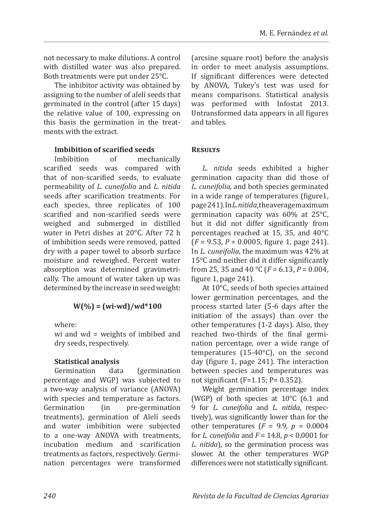not necessary to make dilutions. A control with distilled water was also prepared. Both treatments were put under 25°C.

The inhibitor activity was obtained by assigning to the number of alelí seeds that germinated in the control (after 15 days) the relative value of 100, expressing on this basis the germination in the treatments with the extract.

## **Imbibition of scarified seeds**

Imbibition of mechanically scarified seeds was compared with that of non-scarified seeds, to evaluate permeability of *L. cuneifolia* and *L. nitida*  seeds after scarification treatments. For each species, three replicates of 100 scarified and non-scarified seeds were weighed and submerged in distilled water in Petri dishes at 20°C. After 72 h of imbibition seeds were removed, patted dry with a paper towel to absorb surface moisture and reweighed. Percent water absorption was determined gravimetrically. The amount of water taken up was determined by the increase in seed weight:

# **W(%) = (wi-wd)/wd\*100**

where:

wi and wd = weights of imbibed and dry seeds, respectively.

# **Statistical analysis**

Germination data (germination percentage and WGP) was subjected to a two-way analysis of variance (ANOVA) with species and temperature as factors.<br>Germination (in pre-germination pre-germination treatments), germination of Alelí seeds and water imbibition were subjected to a one-way ANOVA with treatments, incubation medium and scarification treatments as factors, respectively. Germination percentages were transformed (arcsine square root) before the analysis in order to meet analysis assumptions. If significant differences were detected by ANOVA, Tukey's test was used for means comparisons. Statistical analysis was performed with Infostat 2013. Untransformed data appears in all figures and tables.

## **Results**

*L. nitida* seeds exhibited a higher germination capacity than did those of *L. cuneifolia,* and both species germinated in a wide range of temperatures (figure1, page 241). In *L. nitida*, the average maximum germination capacity was 60% at 25°C, but it did not differ significantly from percentages reached at 15, 35, and 40°C (*F* = 9.53, *P* = 0.0005, figure 1, page 241). In *L. cuneifolia*, the maximum was 42% at 15°C and neither did it differ significantly from 25, 35 and 40 °C ( $F = 6.13$ ,  $P = 0.004$ , figure 1, page 241).

At 10°C, seeds of both species attained lower germination percentages, and the process started later (5-6 days after the initiation of the assays) than over the other temperatures (1-2 days). Also, they reached two-thirds of the final germination percentage, over a wide range of temperatures (15-40°C), on the second day (figure 1, page 241). The interaction between species and temperatures was not significant (F=1.15; P= 0.352).

Weight germination percentage index (WGP) of both species at 10°C (6.1 and 9 for *L. cuneifolia* and *L. nitida*, respectively), was significantly lower than for the other temperatures  $(F = 9.9, p = 0.0004)$ for *L. cuneifolia* and *F* = 14.8, *p* < 0,0001 for *L. nitida*), so the germination process was slower. At the other temperatures WGP differences were not statistically significant.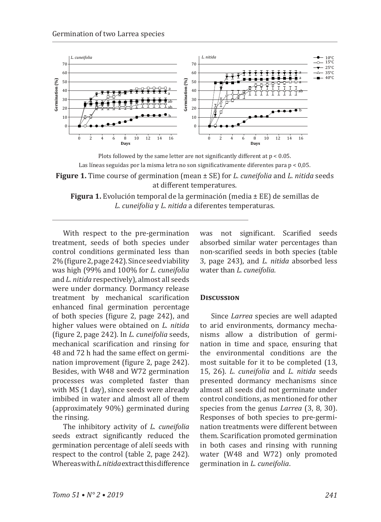

Plots followed by the same letter are not significantly different at p < 0.05. Las líneas seguidas por la misma letra no son significativamente diferentes para p < 0,05. **Figure 1.** Time course of germination (mean ± SE) for *L. cuneifolia* and *L. nitida* seeds at different temperatures.

**Figura 1.** Evolución temporal de la germinación (media ± EE) de semillas de *L. cuneifolia* y *L. nitida* a diferentes temperaturas.

With respect to the pre-germination treatment, seeds of both species under control conditions germinated less than 2% (figure 2, page 242). Since seed viability was high (99% and 100% for *L. cuneifolia* and *L. nitida* respectively), almost all seeds were under dormancy. Dormancy release treatment by mechanical scarification enhanced final germination percentage of both species (figure 2, page 242), and higher values were obtained on *L. nitida* (figure 2, page 242). In *L. cuneifolia* seeds, mechanical scarification and rinsing for 48 and 72 h had the same effect on germination improvement (figure 2, page 242). Besides, with W48 and W72 germination processes was completed faster than with MS (1 day), since seeds were already imbibed in water and almost all of them (approximately 90%) germinated during the rinsing.

The inhibitory activity of *L. cuneifolia* seeds extract significantly reduced the germination percentage of alelí seeds with respect to the control (table 2, page 242). Whereas with *L. nitida* extract this difference was not significant. Scarified seeds absorbed similar water percentages than non-scarified seeds in both species (table 3, page 243), and *L. nitida* absorbed less water than *L. cuneifolia*.

#### **Discussion**

Since *Larrea* species are well adapted to arid environments, dormancy mechanisms allow a distribution of germination in time and space, ensuring that the environmental conditions are the most suitable for it to be completed (13, 15, 26). *L. cuneifolia* and *L. nitida* seeds presented dormancy mechanisms since almost all seeds did not germinate under control conditions, as mentioned for other species from the genus *Larrea* (3, 8, 30). Responses of both species to pre-germination treatments were different between them. Scarification promoted germination in both cases and rinsing with running water (W48 and W72) only promoted germination in *L. cuneifolia*.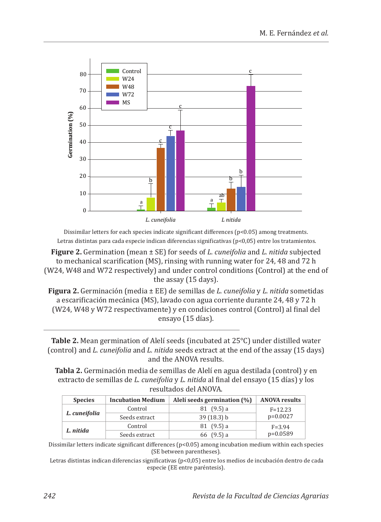

Dissimilar letters for each species indicate significant differences (p<0.05) among treatments. Letras distintas para cada especie indican diferencias significativas (p<0,05) entre los tratamientos.

**Figure 2.** Germination (mean ± SE) for seeds of *L. cuneifolia* and *L. nitida* subjected to mechanical scarification (MS), rinsing with running water for 24, 48 and 72 h (W24, W48 and W72 respectively) and under control conditions (Control) at the end of the assay (15 days).

**Figura 2.** Germinación (media ± EE) de semillas de *L. cuneifolia* y *L. nitida* sometidas a escarificación mecánica (MS), lavado con agua corriente durante 24, 48 y 72 h (W24, W48 y W72 respectivamente) y en condiciones control (Control) al final del ensayo (15 días).

**Table 2.** Mean germination of Alelí seeds (incubated at 25°C) under distilled water (control) and *L. cuneifolia* and *L. nitida* seeds extract at the end of the assay (15 days) and the ANOVA results.

**Tabla 2.** Germinación media de semillas de Alelí en agua destilada (control) y en extracto de semillas de *L. cuneifolia* y *L. nitida* al final del ensayo (15 días) y los resultados del ANOVA.

| <b>Species</b> | <b>Incubation Medium</b> | Alelí seeds germination (%) | <b>ANOVA results</b> |  |
|----------------|--------------------------|-----------------------------|----------------------|--|
| L. cuneifolia  | Control                  | 81(9.5) a                   | $F = 12.23$          |  |
|                | Seeds extract            | 39(18.3) b                  | $p=0.0027$           |  |
| L. nitida      | Control                  | 81(9.5)a                    | $F = 3.94$           |  |
|                | Seeds extract            | 66 $(9.5)$ a                | $p=0.0589$           |  |

Dissimilar letters indicate significant differences (p<0.05) among incubation medium within each species (SE between parentheses).

 Letras distintas indican diferencias significativas (p<0,05) entre los medios de incubación dentro de cada especie (EE entre paréntesis).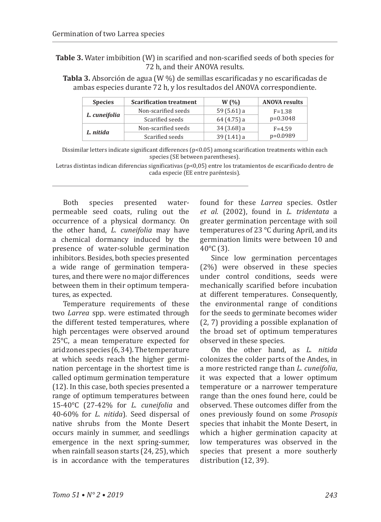**Table 3.** Water imbibition (W) in scarified and non-scarified seeds of both species for 72 h, and their ANOVA results.

**Tabla 3.** Absorción de agua (W %) de semillas escarificadas y no escarificadas de ambas especies durante 72 h, y los resultados del ANOVA correspondiente.

| <b>Species</b> | <b>Scarification treatment</b> | W(%)          | <b>ANOVA results</b> |
|----------------|--------------------------------|---------------|----------------------|
| L. cuneifolia  | Non-scarified seeds            | 59 $(5.61)$ a | $F = 1.38$           |
|                | Scarified seeds                | 64 (4.75) a   | $p=0.3048$           |
| L. nitida      | Non-scarified seeds            | $34(3.68)$ a  | $F = 4.59$           |
|                | Scarified seeds                | $39(1.41)$ a  | $p=0.0989$           |

Dissimilar letters indicate significant differences (p<0.05) among scarification treatments within each species (SE between parentheses).

Letras distintas indican diferencias significativas (p<0,05) entre los tratamientos de escarificado dentro de cada especie (EE entre paréntesis).

Both species presented waterpermeable seed coats, ruling out the occurrence of a physical dormancy. On the other hand, *L. cuneifolia* may have a chemical dormancy induced by the presence of water-soluble germination inhibitors. Besides, both species presented a wide range of germination temperatures, and there were no major differences between them in their optimum temperatures, as expected.

Temperature requirements of these two *Larrea* spp. were estimated through the different tested temperatures, where high percentages were observed around 25°C, a mean temperature expected for arid zones species (6, 34). The temperature at which seeds reach the higher germination percentage in the shortest time is called optimum germination temperature (12). In this case, both species presented a range of optimum temperatures between 15-40°C (27-42% for *L. cuneifolia* and 40-60% for *L. nitida*)*.* Seed dispersal of native shrubs from the Monte Desert occurs mainly in summer, and seedlings emergence in the next spring-summer, when rainfall season starts (24, 25), which is in accordance with the temperatures

found for these *Larrea* species. Ostler *et al*. (2002), found in *L. tridentata* a greater germination percentage with soil temperatures of 23 °C during April, and its germination limits were between 10 and  $40^{\circ}$ C (3).

Since low germination percentages (2%) were observed in these species under control conditions, seeds were mechanically scarified before incubation at different temperatures. Consequently, the environmental range of conditions for the seeds to germinate becomes wider (2, 7) providing a possible explanation of the broad set of optimum temperatures observed in these species.

On the other hand, as *L. nitida*  colonizes the colder parts of the Andes, in a more restricted range than *L. cuneifolia*, it was expected that a lower optimum temperature or a narrower temperature range than the ones found here, could be observed. These outcomes differ from the ones previously found on some *Prosopis* species that inhabit the Monte Desert, in which a higher germination capacity at low temperatures was observed in the species that present a more southerly distribution (12, 39).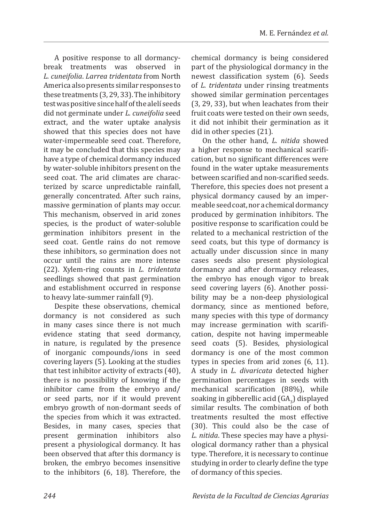A positive response to all dormancybreak treatments was observed in *L. cuneifolia*. *Larrea tridentata* from North America also presents similar responses to these treatments (3, 29, 33). The inhibitory test was positive since half of the alelí seeds did not germinate under *L. cuneifolia* seed extract, and the water uptake analysis showed that this species does not have water-impermeable seed coat. Therefore, it may be concluded that this species may have a type of chemical dormancy induced by water-soluble inhibitors present on the seed coat. The arid climates are characterized by scarce unpredictable rainfall, generally concentrated. After such rains, massive germination of plants may occur. This mechanism, observed in arid zones species, is the product of water-soluble germination inhibitors present in the seed coat. Gentle rains do not remove these inhibitors, so germination does not occur until the rains are more intense (22). Xylem-ring counts in *L. tridentata* seedlings showed that past germination and establishment occurred in response to heavy late-summer rainfall (9).

Despite these observations, chemical dormancy is not considered as such in many cases since there is not much evidence stating that seed dormancy, in nature, is regulated by the presence of inorganic compounds/ions in seed covering layers (5). Looking at the studies that test inhibitor activity of extracts (40), there is no possibility of knowing if the inhibitor came from the embryo and/ or seed parts, nor if it would prevent embryo growth of non-dormant seeds of the species from which it was extracted. Besides, in many cases, species that<br>present germination inhibitors also present germination inhibitors present a physiological dormancy. It has been observed that after this dormancy is broken, the embryo becomes insensitive to the inhibitors (6, 18). Therefore, the chemical dormancy is being considered part of the physiological dormancy in the newest classification system (6). Seeds of *L. tridentata* under rinsing treatments showed similar germination percentages (3, 29, 33), but when leachates from their fruit coats were tested on their own seeds, it did not inhibit their germination as it did in other species (21).

On the other hand, *L. nitida* showed a higher response to mechanical scarification, but no significant differences were found in the water uptake measurements between scarified and non-scarified seeds. Therefore, this species does not present a physical dormancy caused by an impermeable seed coat, nor a chemical dormancy produced by germination inhibitors. The positive response to scarification could be related to a mechanical restriction of the seed coats, but this type of dormancy is actually under discussion since in many cases seeds also present physiological dormancy and after dormancy releases, the embryo has enough vigor to break seed covering layers (6). Another possibility may be a non-deep physiological dormancy, since as mentioned before, many species with this type of dormancy may increase germination with scarification, despite not having impermeable seed coats (5). Besides, physiological dormancy is one of the most common types in species from arid zones (6, 11). A study in *L. divaricata* detected higher germination percentages in seeds with mechanical scarification (88%), while soaking in gibberellic acid  $(GA_3)$  displayed similar results. The combination of both treatments resulted the most effective (30). This could also be the case of *L. nitida*. These species may have a physiological dormancy rather than a physical type. Therefore, it is necessary to continue studying in order to clearly define the type of dormancy of this species.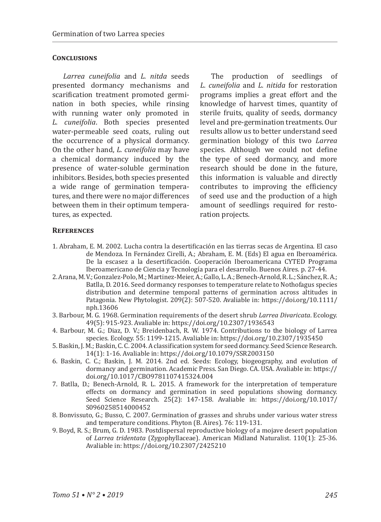#### **Conclusions**

*Larrea cuneifolia* and *L. nitda* seeds presented dormancy mechanisms and scarification treatment promoted germination in both species, while rinsing with running water only promoted in *L. cuneifolia*. Both species presented water-permeable seed coats, ruling out the occurrence of a physical dormancy. On the other hand, *L. cuneifolia* may have a chemical dormancy induced by the presence of water-soluble germination inhibitors. Besides, both species presented a wide range of germination temperatures, and there were no major differences between them in their optimum temperatures, as expected.

The production of seedlings of *L. cuneifolia* and *L. nitida* for restoration programs implies a great effort and the knowledge of harvest times, quantity of sterile fruits, quality of seeds, dormancy level and pre-germination treatments. Our results allow us to better understand seed germination biology of this two *Larrea* species. Although we could not define the type of seed dormancy, and more research should be done in the future, this information is valuable and directly contributes to improving the efficiency of seed use and the production of a high amount of seedlings required for restoration projects.

#### **References**

- 1. Abraham, E. M. 2002. Lucha contra la desertificación en las tierras secas de Argentina. El caso de Mendoza. In Fernández Cirelli, A.; Abraham, E. M. (Eds) El agua en Iberoamérica. De la escasez a la desertificación. Cooperación Iberoamericana CYTED Programa Iberoamericano de Ciencia y Tecnología para el desarrollo. Buenos Aires. p. 27-44.
- 2. Arana, M. V.; Gonzalez-Polo, M.; Martinez-Meier, A.; Gallo, L. A.; Benech-Arnold, R. L.; Sánchez, R. A.; Batlla, D. 2016. Seed dormancy responses to temperature relate to Nothofagus species distribution and determine temporal patterns of germination across altitudes in Patagonia. New Phytologist. 209(2): 507-520. Avaliable in: https://doi.org/10.1111/ nph.13606
- 3. Barbour, M. G. 1968. Germination requirements of the desert shrub *Larrea Divaricata*. Ecology. 49(5): 915-923. Avaliable in: https://doi.org/10.2307/1936543
- 4. Barbour, M. G.; Diaz, D. V.; Breidenbach, R. W. 1974. Contributions to the biology of Larrea species. Ecology. 55: 1199-1215. Avaliable in: https://doi.org/10.2307/1935450
- 5. Baskin, J. M.; Baskin, C. C. 2004. A classification system for seed dormancy. Seed Science Research. 14(1): 1-16. Avaliable in: https://doi.org/10.1079/SSR2003150
- 6. Baskin, C. C.; Baskin, J. M. 2014. 2nd ed. Seeds: Ecology, biogeography, and evolution of dormancy and germination. Academic Press. San Diego. CA. USA. Avaliable in: https:// doi.org/10.1017/CBO9781107415324.004
- 7. Batlla, D.; Benech-Arnold, R. L. 2015. A framework for the interpretation of temperature effects on dormancy and germination in seed populations showing dormancy. Seed Science Research. 25(2): 147-158. Avaliable in: https://doi.org/10.1017/ S0960258514000452
- 8. Bonvissuto, G.; Busso, C. 2007. Germination of grasses and shrubs under various water stress and temperature conditions. Phyton (B. Aires). 76: 119-131.
- 9. Boyd, R. S.; Brum, G. D. 1983. Postdispersal reproductive biology of a mojave desert population of *Larrea tridentata* (Zygophyllaceae). American Midland Naturalist. 110(1): 25-36. Avaliable in: https://doi.org/10.2307/2425210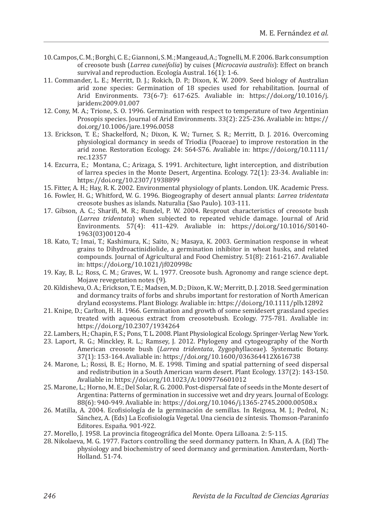- 10. Campos, C. M.; Borghi, C. E.; Giannoni, S. M.; Mangeaud, A.; Tognelli, M. F. 2006. Bark consumption of creosote bush (*Larrea cuneifolia*) by cuises (*Microcavia australis*): Effect on branch survival and reproduction. Ecología Austral. 16(1): 1-6.
- 11. Commander, L. E.; Merritt, D. J.; Rokich, D. P.; Dixon, K. W. 2009. Seed biology of Australian arid zone species: Germination of 18 species used for rehabilitation. Journal of Arid Environments. 73(6-7): 617-625. Avaliable in: https://doi.org/10.1016/j. jaridenv.2009.01.007
- 12. Cony, M. A.; Trione, S. O. 1996. Germination with respect to temperature of two Argentinian Prosopis species. Journal of Arid Environments. 33(2): 225-236. Avaliable in: https:// doi.org/10.1006/jare.1996.0058
- 13. Erickson, T. E.; Shackelford, N.; Dixon, K. W.; Turner, S. R.; Merritt, D. J. 2016. Overcoming physiological dormancy in seeds of Triodia (Poaceae) to improve restoration in the arid zone. Restoration Ecology. 24: S64-S76. Avaliable in: https://doi.org/10.1111/ rec.12357
- 14. Ezcurra, E.; Montana, C.; Arizaga, S. 1991. Architecture, light interception, and distribution of larrea species in the Monte Desert, Argentina. Ecology. 72(1): 23-34. Avaliable in: https://doi.org/10.2307/1938899
- 15. Fitter, A. H.; Hay, R. K. 2002. Environmental physiology of plants. London. UK. Academic Press.
- 16. Fowler, H. G.; Whitford, W. G. 1996. Biogeography of desert annual plants: *Larrea tridentata*  creosote bushes as islands. Naturalia (Sao Paulo). 103-111.
- 17. Gibson, A. C.; Sharifi, M. R.; Rundel, P. W. 2004. Resprout characteristics of creosote bush (*Larrea tridentata*) when subjected to repeated vehicle damage. Journal of Arid Environments. 57(4): 411-429. Avaliable in: https://doi.org/10.1016/S0140- 1963(03)00120-4
- 18. Kato, T.; Imai, T.; Kashimura, K.; Saito, N.; Masaya, K. 2003. Germination response in wheat grains to Dihydroactinidiolide, a germination inhibitor in wheat husks, and related compounds. Journal of Agricultural and Food Chemistry. 51(8): 2161-2167. Avaliable in: https://doi.org/10.1021/jf020998c
- 19. Kay, B. L.; Ross, C. M.; Graves, W. L. 1977. Creosote bush. Agronomy and range science dept. Mojave revegetation notes (9).
- 20. Kildisheva, O. A.; Erickson, T. E.; Madsen, M. D.; Dixon, K. W.; Merritt, D. J. 2018. Seed germination and dormancy traits of forbs and shrubs important for restoration of North American dryland ecosystems. Plant Biology. Avaliable in: https://doi.org/10.1111/plb.12892
- 21. Knipe, D.; Carlton, H. H. 1966. Germination and growth of some semidesert grassland species treated with aqueous extract from creosotebush. Ecology. 775-781. Avaliable in: https://doi.org/10.2307/1934264
- 22. Lambers, H.; Chapin, F. S.; Pons, T. L. 2008. Plant Physiological Ecology. Springer-Verlag New York.
- 23. Laport, R. G.; Minckley, R. L.; Ramsey, J. 2012. Phylogeny and cytogeography of the North American creosote bush (*Larrea tridentata*, Zygophyllaceae). Systematic Botany. 37(1): 153-164. Avaliable in: https://doi.org/10.1600/036364412X616738
- 24. Marone, L.; Rossi, B. E.; Horno, M. E. 1998. Timing and spatial patterning of seed dispersal and redistribution in a South American warm desert. Plant Ecology. 137(2): 143-150. Avaliable in: https://doi.org/10.1023/A:1009776601012
- 25. Marone, L.; Horno, M. E.; Del Solar, R. G. 2000. Post-dispersal fate of seeds in the Monte desert of Argentina: Patterns of germination in successive wet and dry years. Journal of Ecology. 88(6): 940-949. Avaliable in: https://doi.org/10.1046/j.1365-2745.2000.00508.x
- 26. Matilla, A. 2004. Ecofisiología de la germinación de semillas. In Reigosa, M. J.; Pedrol, N.; Sánchez, A. (Eds) La Ecofisiología Vegetal. Una ciencia de síntesis. Thomson-Paraninfo Editores. España. 901-922.
- 27. Morello, J. 1958. La provincia fitogeográfica del Monte. Opera Lilloana. 2: 5-115.
- 28. Nikolaeva, M. G. 1977. Factors controlling the seed dormancy pattern. In Khan, A. A. (Ed) The physiology and biochemistry of seed dormancy and germination. Amsterdam, North-Holland. 51-74.